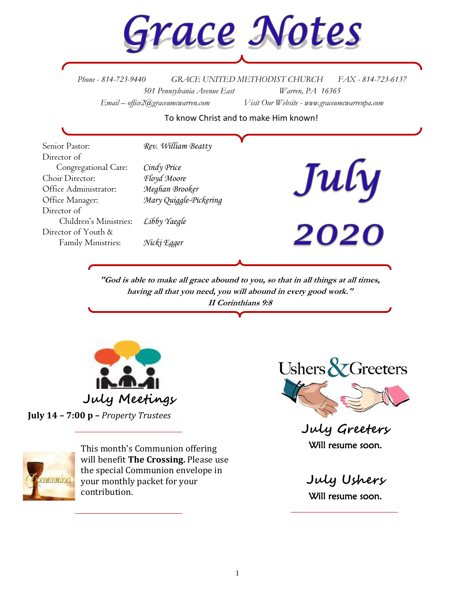

*Phone - 814-723-9440 GRACE UNITED METHODIST CHURCH FAX - 814-723-6137 501 Pennsylvania Avenue East Warren, PA 16365 Email – office2@graceumcwarren.com Visit Our Website - www.graceumcwarrenpa.com* 

To know Christ and to make Him known!

| Senior Pastor:         | Rev. William Beatty    |      |
|------------------------|------------------------|------|
| Director of            |                        |      |
| Congregational Care:   | Cindy Price            | July |
| Choir Director:        | Floyd Moore            |      |
| Office Administrator:  | Meghan Brooker         |      |
| Office Manager:        | Mary Quiggle-Pickering |      |
| Director of            |                        |      |
| Children's Ministries: | Libby Yaegle           |      |
| Director of Youth &    |                        | 2020 |
| Family Ministries:     | Nicki Egger            |      |
|                        |                        |      |

**"God is able to make all grace abound to you, so that in all things at all times, having all that you need, you will abound in every good work." II Corinthians 9:8**



**July 14 – 7:00 p –** *Property Trustees*



This month's Communion offering will benefit **The Crossing.** Please use the special Communion envelope in your monthly packet for your contribution.



**July Greeters** Will resume soon.

**July Ushers** Will resume soon.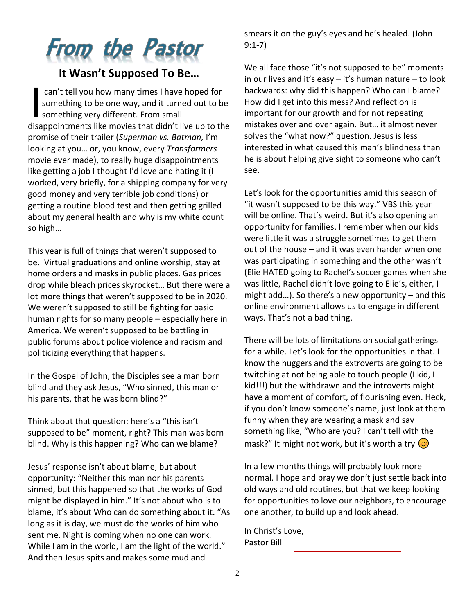# **From the Pastor**

# **It Wasn't Supposed To Be…**

can't tell you how many times I have hoped for something to be one way, and it turned out to be something very different. From small disappointments like movies that didn't live up to the promise of their trailer (*Superman vs. Batman,* I'm looking at you… or, you know, every *Transformers* movie ever made), to really huge disappointments like getting a job I thought I'd love and hating it (I worked, very briefly, for a shipping company for very good money and very terrible job conditions) or getting a routine blood test and then getting grilled about my general health and why is my white count so high… I

This year is full of things that weren't supposed to be. Virtual graduations and online worship, stay at home orders and masks in public places. Gas prices drop while bleach prices skyrocket… But there were a lot more things that weren't supposed to be in 2020. We weren't supposed to still be fighting for basic human rights for so many people – especially here in America. We weren't supposed to be battling in public forums about police violence and racism and politicizing everything that happens.

In the Gospel of John, the Disciples see a man born blind and they ask Jesus, "Who sinned, this man or his parents, that he was born blind?"

Think about that question: here's a "this isn't supposed to be" moment, right? This man was born blind. Why is this happening? Who can we blame?

Jesus' response isn't about blame, but about opportunity: "Neither this man nor his parents sinned, but this happened so that the works of God might be displayed in him." It's not about who is to blame, it's about Who can do something about it. "As long as it is day, we must do the works of him who sent me. Night is coming when no one can work. While I am in the world, I am the light of the world." And then Jesus spits and makes some mud and

smears it on the guy's eyes and he's healed. (John 9:1-7)

We all face those "it's not supposed to be" moments in our lives and it's easy – it's human nature – to look backwards: why did this happen? Who can I blame? How did I get into this mess? And reflection is important for our growth and for not repeating mistakes over and over again. But… it almost never solves the "what now?" question. Jesus is less interested in what caused this man's blindness than he is about helping give sight to someone who can't see.

Let's look for the opportunities amid this season of "it wasn't supposed to be this way." VBS this year will be online. That's weird. But it's also opening an opportunity for families. I remember when our kids were little it was a struggle sometimes to get them out of the house – and it was even harder when one was participating in something and the other wasn't (Elie HATED going to Rachel's soccer games when she was little, Rachel didn't love going to Elie's, either, I might add…). So there's a new opportunity – and this online environment allows us to engage in different ways. That's not a bad thing.

There will be lots of limitations on social gatherings for a while. Let's look for the opportunities in that. I know the huggers and the extroverts are going to be twitching at not being able to touch people (I kid, I kid!!!) but the withdrawn and the introverts might have a moment of comfort, of flourishing even. Heck, if you don't know someone's name, just look at them funny when they are wearing a mask and say something like, "Who are you? I can't tell with the mask?" It might not work, but it's worth a try  $\odot$ 

In a few months things will probably look more normal. I hope and pray we don't just settle back into old ways and old routines, but that we keep looking for opportunities to love our neighbors, to encourage one another, to build up and look ahead.

In Christ's Love, Pastor Bill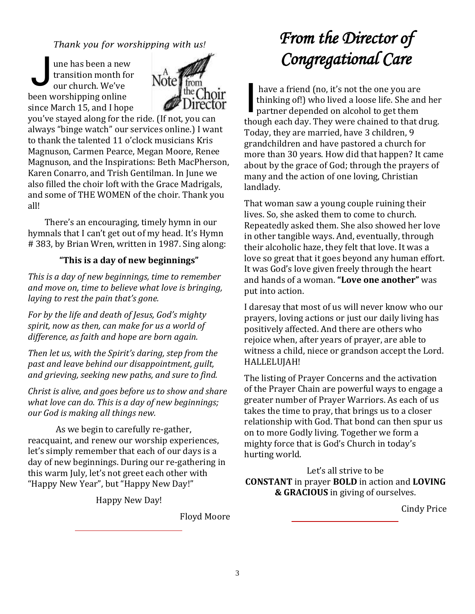*Thank you for worshipping with us!*

une has been a new transition month for our church. We've been worshipping online since March 15, and I hope J



you've stayed along for the ride. (If not, you can always "binge watch" our services online.) I want to thank the talented 11 o'clock musicians Kris Magnuson, Carmen Pearce, Megan Moore, Renee Magnuson, and the Inspirations: Beth MacPherson, Karen Conarro, and Trish Gentilman. In June we also filled the choir loft with the Grace Madrigals, and some of THE WOMEN of the choir. Thank you all!

There's an encouraging, timely hymn in our hymnals that I can't get out of my head. It's Hymn # 383, by Brian Wren, written in 1987. Sing along:

#### **"This is a day of new beginnings"**

*This is a day of new beginnings, time to remember and move on, time to believe what love is bringing, laying to rest the pain that's gone.*

*For by the life and death of Jesus, God's mighty spirit, now as then, can make for us a world of difference, as faith and hope are born again.*

*Then let us, with the Spirit's daring, step from the past and leave behind our disappointment, guilt, and grieving, seeking new paths, and sure to find.*

*Christ is alive, and goes before us to show and share what love can do. This is a day of new beginnings; our God is making all things new.* 

As we begin to carefully re-gather, reacquaint, and renew our worship experiences, let's simply remember that each of our days is a day of new beginnings. During our re-gathering in this warm July, let's not greet each other with "Happy New Year", but "Happy New Day!"

Happy New Day!

Floyd Moore

# *From the Director of Congregational Care*

have a friend (no, it's not the one you are thinking of!) who lived a loose life. She and her partner depended on alcohol to get them though each day. They were chained to that drug. Today, they are married, have 3 children, 9 grandchildren and have pastored a church for more than 30 years. How did that happen? It came about by the grace of God; through the prayers of many and the action of one loving, Christian landlady. I

That woman saw a young couple ruining their lives. So, she asked them to come to church. Repeatedly asked them. She also showed her love in other tangible ways. And, eventually, through their alcoholic haze, they felt that love. It was a love so great that it goes beyond any human effort. It was God's love given freely through the heart and hands of a woman. **"Love one another"** was put into action.

I daresay that most of us will never know who our prayers, loving actions or just our daily living has positively affected. And there are others who rejoice when, after years of prayer, are able to witness a child, niece or grandson accept the Lord. HALLELUJAH!

The listing of Prayer Concerns and the activation of the Prayer Chain are powerful ways to engage a greater number of Prayer Warriors. As each of us takes the time to pray, that brings us to a closer relationship with God. That bond can then spur us on to more Godly living. Together we form a mighty force that is God's Church in today's hurting world.

Let's all strive to be **CONSTANT** in prayer **BOLD** in action and **LOVING & GRACIOUS** in giving of ourselves.

Cindy Price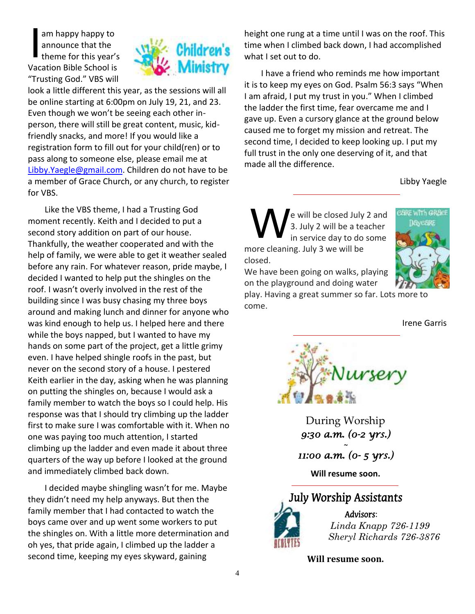am happy happy to announce that the theme for this year's Vacation Bible School is "Trusting God." VBS will I



look a little different this year, as the sessions will all be online starting at 6:00pm on July 19, 21, and 23. Even though we won't be seeing each other inperson, there will still be great content, music, kidfriendly snacks, and more! If you would like a registration form to fill out for your child(ren) or to pass along to someone else, please email me at [Libby.Yaegle@gmail.com.](mailto:Libby.Yaegle@gmail.com) Children do not have to be a member of Grace Church, or any church, to register for VBS.

Like the VBS theme, I had a Trusting God moment recently. Keith and I decided to put a second story addition on part of our house. Thankfully, the weather cooperated and with the help of family, we were able to get it weather sealed before any rain. For whatever reason, pride maybe, I decided I wanted to help put the shingles on the roof. I wasn't overly involved in the rest of the building since I was busy chasing my three boys around and making lunch and dinner for anyone who was kind enough to help us. I helped here and there while the boys napped, but I wanted to have my hands on some part of the project, get a little grimy even. I have helped shingle roofs in the past, but never on the second story of a house. I pestered Keith earlier in the day, asking when he was planning on putting the shingles on, because I would ask a family member to watch the boys so I could help. His response was that I should try climbing up the ladder first to make sure I was comfortable with it. When no one was paying too much attention, I started climbing up the ladder and even made it about three quarters of the way up before I looked at the ground and immediately climbed back down.

I decided maybe shingling wasn't for me. Maybe they didn't need my help anyways. But then the family member that I had contacted to watch the boys came over and up went some workers to put the shingles on. With a little more determination and oh yes, that pride again, I climbed up the ladder a second time, keeping my eyes skyward, gaining

height one rung at a time until I was on the roof. This time when I climbed back down, I had accomplished what I set out to do.

I have a friend who reminds me how important it is to keep my eyes on God. Psalm 56:3 says "When I am afraid, I put my trust in you." When I climbed the ladder the first time, fear overcame me and I gave up. Even a cursory glance at the ground below caused me to forget my mission and retreat. The second time, I decided to keep looking up. I put my full trust in the only one deserving of it, and that made all the difference.

Libby Yaegle

e will be closed July 2 and 3. July 2 will be a teacher in service day to do some more cleaning. July 3 we will be closed. W



We have been going on walks, playing on the playground and doing water

play. Having a great summer so far. Lots more to come.

Irene Garris



During Worship *9:30 a.m. (0-2 yrs.) ~ 11:00 a.m. (0- 5 yrs.)* 

**Will resume soon.**



 *Linda Knapp 726-1199 Sheryl Richards 726-3876*

**Will resume soon.**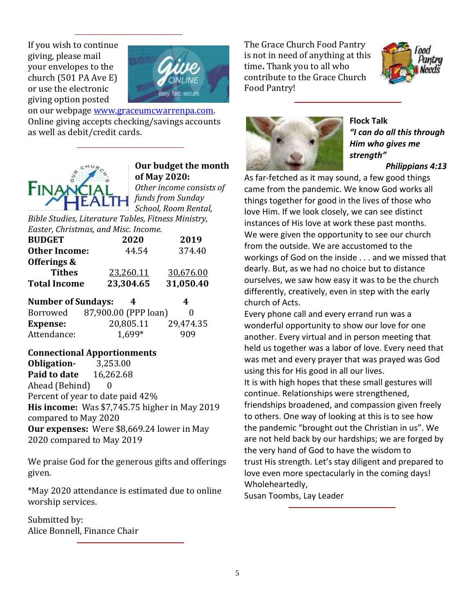If you wish to continue giving, please mail your envelopes to the church (501 PA Ave E) or use the electronic giving option posted



on our webpage [www.graceumcwarrenpa.com.](http://www.graceumcwarrenpa.com/)  Online giving accepts checking/savings accounts as well as debit/credit cards.



# **Our budget the month of May 2020:**

*Other income consists of funds from Sunday School, Room Rental,* 

*Bible Studies, Literature Tables, Fitness Ministry, Easter, Christmas, and Misc. Income.*

| <b>BUDGET</b>                       | 2020                 | 2019      |  |  |  |
|-------------------------------------|----------------------|-----------|--|--|--|
| <b>Other Income:</b>                | 44.54                | 374.40    |  |  |  |
| Offerings &                         |                      |           |  |  |  |
| <b>Tithes</b>                       | 23,260.11            | 30,676.00 |  |  |  |
| <b>Total Income</b>                 | 23,304.65            | 31,050.40 |  |  |  |
| <b>Number of Sundays:</b><br>4<br>4 |                      |           |  |  |  |
| Borrowed                            | 87,900.00 (PPP loan) | 0         |  |  |  |
| <b>Expense:</b>                     | 20,805.11            | 29,474.35 |  |  |  |
| Attendance:                         | 1,699*               | 909       |  |  |  |

#### **Connectional Apportionments**

**Obligation-** 3,253.00 **Paid to date** 16,262.68 Ahead (Behind) 0 Percent of year to date paid 42% **His income:** Was \$7,745.75 higher in May 2019 compared to May 2020 **Our expenses:** Were \$8,669.24 lower in May 2020 compared to May 2019

We praise God for the generous gifts and offerings given.

\*May 2020 attendance is estimated due to online worship services.

Submitted by: Alice Bonnell, Finance Chair The Grace Church Food Pantry is not in need of anything at this time**.** Thank you to all who contribute to the Grace Church Food Pantry!





**Flock Talk** *"I can do all this through Him who gives me strength" Philippians 4:13*

As far-fetched as it may sound, a few good things came from the pandemic. We know God works all things together for good in the lives of those who love Him. If we look closely, we can see distinct instances of His love at work these past months. We were given the opportunity to see our church from the outside. We are accustomed to the workings of God on the inside . . . and we missed that dearly. But, as we had no choice but to distance ourselves, we saw how easy it was to be the church differently, creatively, even in step with the early church of Acts.

Every phone call and every errand run was a wonderful opportunity to show our love for one another. Every virtual and in person meeting that held us together was a labor of love. Every need that was met and every prayer that was prayed was God using this for His good in all our lives. It is with high hopes that these small gestures will continue. Relationships were strengthened, friendships broadened, and compassion given freely to others. One way of looking at this is to see how the pandemic "brought out the Christian in us". We are not held back by our hardships; we are forged by the very hand of God to have the wisdom to trust His strength. Let's stay diligent and prepared to love even more spectacularly in the coming days! Wholeheartedly,

Susan Toombs, Lay Leader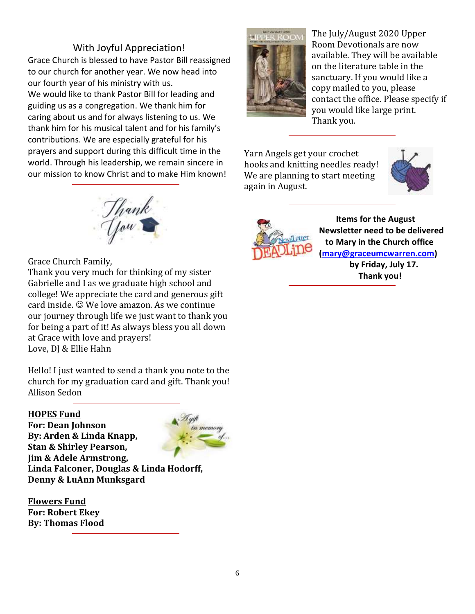### With Joyful Appreciation!

Grace Church is blessed to have Pastor Bill reassigned to our church for another year. We now head into our fourth year of his ministry with us. We would like to thank Pastor Bill for leading and guiding us as a congregation. We thank him for caring about us and for always listening to us. We thank him for his musical talent and for his family's contributions. We are especially grateful for his prayers and support during this difficult time in the world. Through his leadership, we remain sincere in our mission to know Christ and to make Him known!



The July/August 2020 Upper Room Devotionals are now available. They will be available on the literature table in the sanctuary. If you would like a copy mailed to you, please contact the office. Please specify if you would like large print. Thank you.

Yarn Angels get your crochet hooks and knitting needles ready! We are planning to start meeting again in August.





 **Items for the August Newsletter need to be delivered to Mary in the Church office [\(mary@graceumcwarren.com\)](mailto:mary@graceumcwarren.com)**

> **by Friday, July 17. Thank you!**



Grace Church Family,

Thank you very much for thinking of my sister Gabrielle and I as we graduate high school and college! We appreciate the card and generous gift card inside.  $\odot$  We love amazon. As we continue our journey through life we just want to thank you for being a part of it! As always bless you all down at Grace with love and prayers! Love, DJ & Ellie Hahn

Hello! I just wanted to send a thank you note to the church for my graduation card and gift. Thank you! Allison Sedon

#### **HOPES Fund**

**For: Dean Johnson By: Arden & Linda Knapp, Stan & Shirley Pearson, Jim & Adele Armstrong, Linda Falconer, Douglas & Linda Hodorff, Denny & LuAnn Munksgard**

**Flowers Fund For: Robert Ekey By: Thomas Flood**

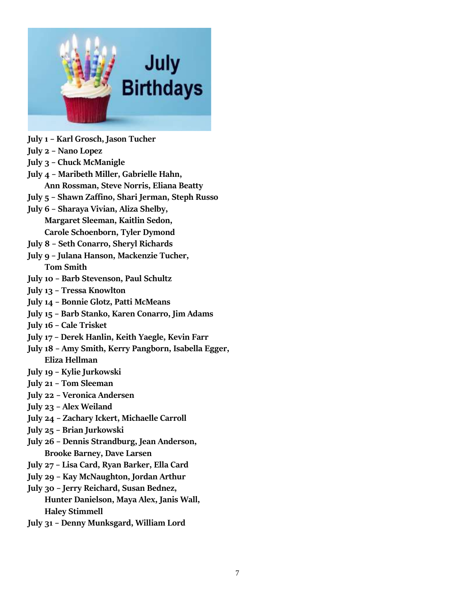

- **July 1 – Karl Grosch, Jason Tucher**
- **July 2 – Nano Lopez**
- **July 3 – Chuck McManigle**
- **July 4 – Maribeth Miller, Gabrielle Hahn, Ann Rossman, Steve Norris, Eliana Beatty**
- **July 5 – Shawn Zaffino, Shari Jerman, Steph Russo**
- **July 6 – Sharaya Vivian, Aliza Shelby, Margaret Sleeman, Kaitlin Sedon, Carole Schoenborn, Tyler Dymond**
- **July 8 – Seth Conarro, Sheryl Richards**
- **July 9 – Julana Hanson, Mackenzie Tucher, Tom Smith**
- **July 10 – Barb Stevenson, Paul Schultz**
- **July 13 – Tressa Knowlton**
- **July 14 – Bonnie Glotz, Patti McMeans**
- **July 15 – Barb Stanko, Karen Conarro, Jim Adams**
- **July 16 – Cale Trisket**
- **July 17 – Derek Hanlin, Keith Yaegle, Kevin Farr**
- **July 18 – Amy Smith, Kerry Pangborn, Isabella Egger, Eliza Hellman**
- **July 19 – Kylie Jurkowski**
- **July 21 – Tom Sleeman**
- **July 22 – Veronica Andersen**
- **July 23 – Alex Weiland**
- **July 24 – Zachary Ickert, Michaelle Carroll**
- **July 25 – Brian Jurkowski**
- **July 26 – Dennis Strandburg, Jean Anderson, Brooke Barney, Dave Larsen**
- **July 27 – Lisa Card, Ryan Barker, Ella Card**
- **July 29 – Kay McNaughton, Jordan Arthur**
- **July 30 – Jerry Reichard, Susan Bednez, Hunter Danielson, Maya Alex, Janis Wall, Haley Stimmell**
- **July 31 – Denny Munksgard, William Lord**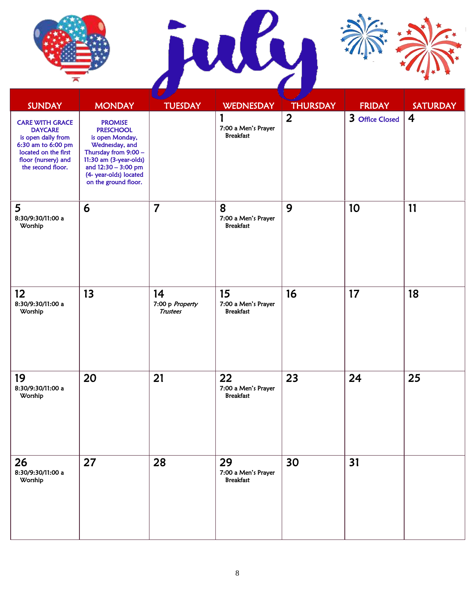





| <b>SUNDAY</b>                                                                                                                                            | <b>MONDAY</b>                                                                                                                                                                                      | <b>TUESDAY</b>                           | <b>WEDNESDAY</b>                              | <b>THURSDAY</b> | <b>FRIDAY</b>   | <b>SATURDAY</b> |
|----------------------------------------------------------------------------------------------------------------------------------------------------------|----------------------------------------------------------------------------------------------------------------------------------------------------------------------------------------------------|------------------------------------------|-----------------------------------------------|-----------------|-----------------|-----------------|
| <b>CARE WITH GRACE</b><br><b>DAYCARE</b><br>is open daily from<br>6:30 am to 6:00 pm<br>located on the first<br>floor (nursery) and<br>the second floor. | <b>PROMISE</b><br><b>PRESCHOOL</b><br>is open Monday,<br>Wednesday, and<br>Thursday from 9:00 -<br>11:30 am (3-year-olds)<br>and 12:30 - 3:00 pm<br>(4- year-olds) located<br>on the ground floor. |                                          | 1<br>7:00 a Men's Prayer<br><b>Breakfast</b>  | $\overline{2}$  | 3 Office Closed | $\overline{4}$  |
| 5<br>8:30/9:30/11:00 a<br>Worship                                                                                                                        | 6                                                                                                                                                                                                  | $\overline{7}$                           | 8<br>7:00 a Men's Prayer<br><b>Breakfast</b>  | 9               | 10              | 11              |
| 12 <sup>2</sup><br>8:30/9:30/11:00 a<br>Worship                                                                                                          | 13                                                                                                                                                                                                 | 14<br>7:00 p Property<br><b>Trustees</b> | 15<br>7:00 a Men's Prayer<br><b>Breakfast</b> | 16              | 17              | 18              |
| 19<br>8:30/9:30/11:00 a<br>Worship                                                                                                                       | 20                                                                                                                                                                                                 | 21                                       | 22<br>7:00 a Men's Prayer<br><b>Breakfast</b> | 23              | 24              | 25              |
| 26<br>8:30/9:30/11:00 a<br>Worship                                                                                                                       | 27                                                                                                                                                                                                 | 28                                       | 29<br>7:00 a Men's Prayer<br><b>Breakfast</b> | 30              | 31              |                 |